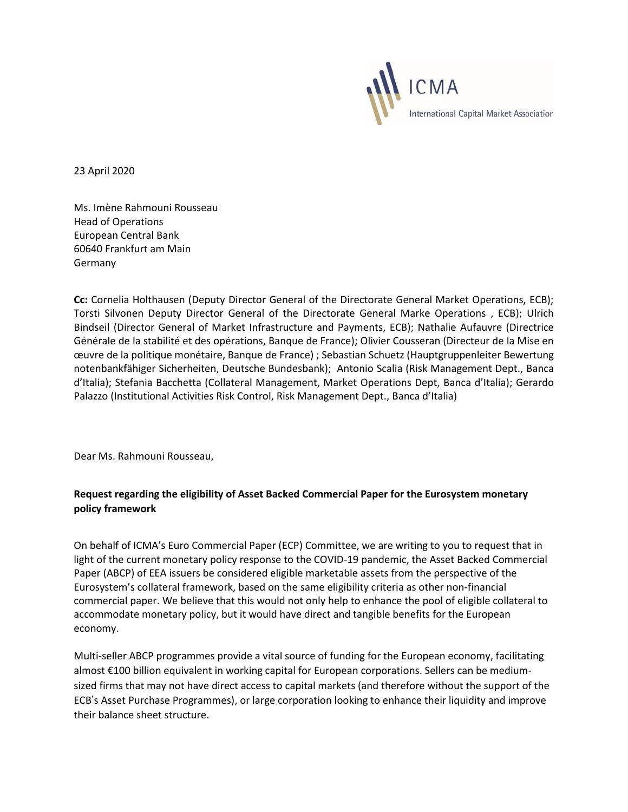

23 April 2020

Ms. Imène Rahmouni Rousseau Head of Operations European Central Bank 60640 Frankfurt am Main Germany

**Cc:** Cornelia Holthausen (Deputy Director General of the Directorate General Market Operations, ECB); Torsti Silvonen Deputy Director General of the Directorate General Marke Operations , ECB); Ulrich Bindseil (Director General of Market Infrastructure and Payments, ECB); Nathalie Aufauvre (Directrice Générale de la stabilité et des opérations, Banque de France); Olivier Cousseran (Directeur de la Mise en œuvre de la politique monétaire, Banque de France) ; Sebastian Schuetz (Hauptgruppenleiter Bewertung notenbankfähiger Sicherheiten, Deutsche Bundesbank); Antonio Scalia (Risk Management Dept., Banca d'Italia); Stefania Bacchetta (Collateral Management, Market Operations Dept, Banca d'Italia); Gerardo Palazzo (Institutional Activities Risk Control, Risk Management Dept., Banca d'Italia)

Dear Ms. Rahmouni Rousseau,

## **Request regarding the eligibility of Asset Backed Commercial Paper for the Eurosystem monetary policy framework**

On behalf of ICMA's Euro Commercial Paper (ECP) Committee, we are writing to you to request that in light of the current monetary policy response to the COVID-19 pandemic, the Asset Backed Commercial Paper (ABCP) of EEA issuers be considered eligible marketable assets from the perspective of the Eurosystem's collateral framework, based on the same eligibility criteria as other non-financial commercial paper. We believe that this would not only help to enhance the pool of eligible collateral to accommodate monetary policy, but it would have direct and tangible benefits for the European economy.

Multi-seller ABCP programmes provide a vital source of funding for the European economy, facilitating almost €100 billion equivalent in working capital for European corporations. Sellers can be mediumsized firms that may not have direct access to capital markets (and therefore without the support of the ECB's Asset Purchase Programmes), or large corporation looking to enhance their liquidity and improve their balance sheet structure.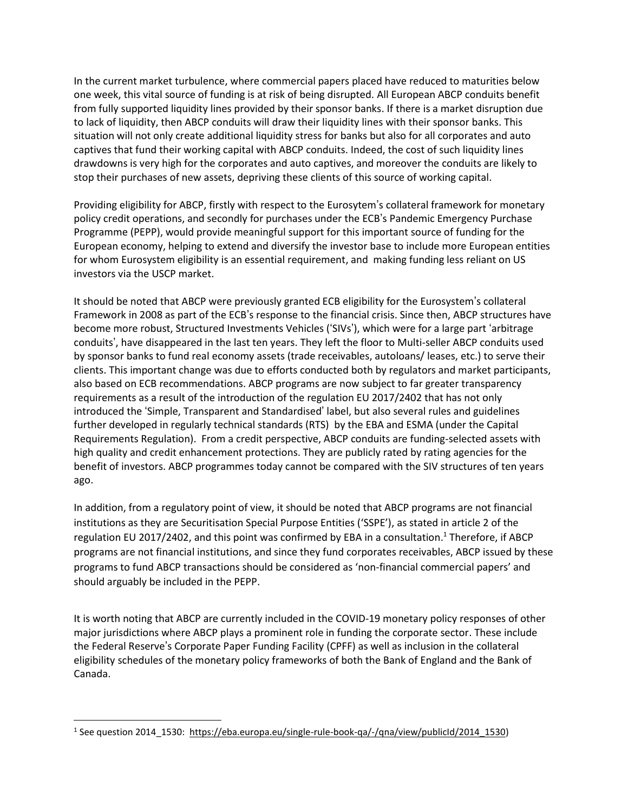In the current market turbulence, where commercial papers placed have reduced to maturities below one week, this vital source of funding is at risk of being disrupted. All European ABCP conduits benefit from fully supported liquidity lines provided by their sponsor banks. If there is a market disruption due to lack of liquidity, then ABCP conduits will draw their liquidity lines with their sponsor banks. This situation will not only create additional liquidity stress for banks but also for all corporates and auto captives that fund their working capital with ABCP conduits. Indeed, the cost of such liquidity lines drawdowns is very high for the corporates and auto captives, and moreover the conduits are likely to stop their purchases of new assets, depriving these clients of this source of working capital.

Providing eligibility for ABCP, firstly with respect to the Eurosytem's collateral framework for monetary policy credit operations, and secondly for purchases under the ECB's Pandemic Emergency Purchase Programme (PEPP), would provide meaningful support for this important source of funding for the European economy, helping to extend and diversify the investor base to include more European entities for whom Eurosystem eligibility is an essential requirement, and making funding less reliant on US investors via the USCP market.

It should be noted that ABCP were previously granted ECB eligibility for the Eurosystem's collateral Framework in 2008 as part of the ECB's response to the financial crisis. Since then, ABCP structures have become more robust, Structured Investments Vehicles ('SIVs'), which were for a large part 'arbitrage conduits', have disappeared in the last ten years. They left the floor to Multi-seller ABCP conduits used by sponsor banks to fund real economy assets (trade receivables, autoloans/ leases, etc.) to serve their clients. This important change was due to efforts conducted both by regulators and market participants, also based on ECB recommendations. ABCP programs are now subject to far greater transparency requirements as a result of the introduction of the regulation EU 2017/2402 that has not only introduced the 'Simple, Transparent and Standardised' label, but also several rules and guidelines further developed in regularly technical standards (RTS) by the EBA and ESMA (under the Capital Requirements Regulation). From a credit perspective, ABCP conduits are funding-selected assets with high quality and credit enhancement protections. They are publicly rated by rating agencies for the benefit of investors. ABCP programmes today cannot be compared with the SIV structures of ten years ago.

In addition, from a regulatory point of view, it should be noted that ABCP programs are not financial institutions as they are Securitisation Special Purpose Entities ('SSPE'), as stated in article 2 of the regulation EU 2017/2402, and this point was confirmed by EBA in a consultation. <sup>1</sup> Therefore, if ABCP programs are not financial institutions, and since they fund corporates receivables, ABCP issued by these programs to fund ABCP transactions should be considered as 'non-financial commercial papers' and should arguably be included in the PEPP.

It is worth noting that ABCP are currently included in the COVID-19 monetary policy responses of other major jurisdictions where ABCP plays a prominent role in funding the corporate sector. These include the Federal Reserve's Corporate Paper Funding Facility (CPFF) as well as inclusion in the collateral eligibility schedules of the monetary policy frameworks of both the Bank of England and the Bank of Canada.

<sup>&</sup>lt;sup>1</sup> See question 2014\_1530: [https://eba.europa.eu/single-rule-book-qa/-/qna/view/publicId/2014\\_1530\)](https://eba.europa.eu/single-rule-book-qa/-/qna/view/publicId/2014_1530)